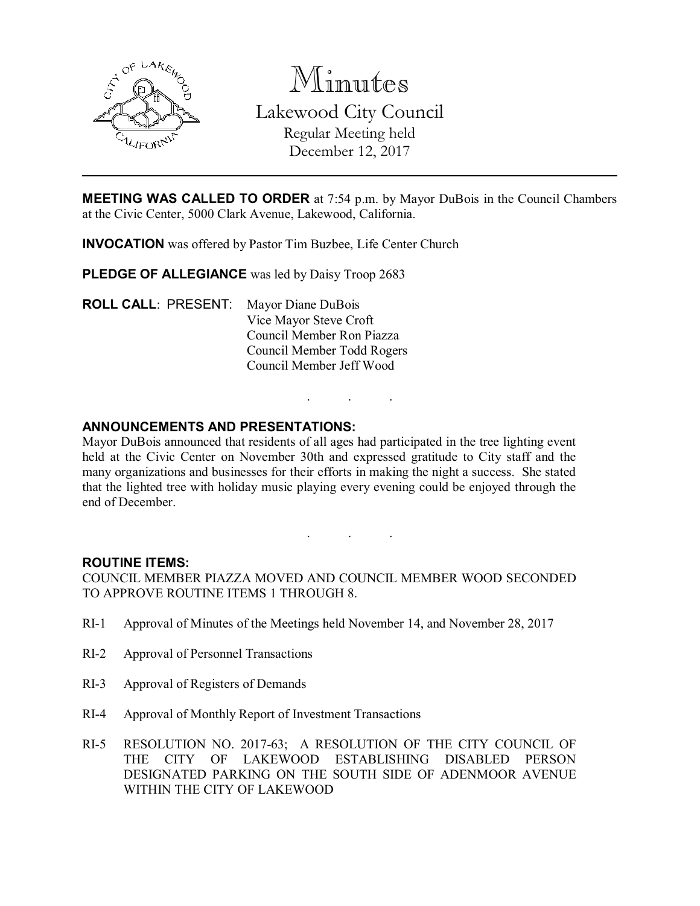

Minutes Lakewood City Council Regular Meeting held December 12, 2017

MEETING WAS CALLED TO ORDER at 7:54 p.m. by Mayor DuBois in the Council Chambers at the Civic Center, 5000 Clark Avenue, Lakewood, California.

INVOCATION was offered by Pastor Tim Buzbee, Life Center Church

PLEDGE OF ALLEGIANCE was led by Daisy Troop 2683

ROLL CALL: PRESENT: Mayor Diane DuBois Vice Mayor Steve Croft Council Member Ron Piazza Council Member Todd Rogers Council Member Jeff Wood

## ANNOUNCEMENTS AND PRESENTATIONS:

Mayor DuBois announced that residents of all ages had participated in the tree lighting event held at the Civic Center on November 30th and expressed gratitude to City staff and the many organizations and businesses for their efforts in making the night a success. She stated that the lighted tree with holiday music playing every evening could be enjoyed through the end of December.

. . .

. . .

#### ROUTINE ITEMS:

COUNCIL MEMBER PIAZZA MOVED AND COUNCIL MEMBER WOOD SECONDED TO APPROVE ROUTINE ITEMS 1 THROUGH 8.

- RI-1 Approval of Minutes of the Meetings held November 14, and November 28, 2017
- RI-2 Approval of Personnel Transactions
- RI-3 Approval of Registers of Demands
- RI-4 Approval of Monthly Report of Investment Transactions
- RI-5 RESOLUTION NO. 2017-63; A RESOLUTION OF THE CITY COUNCIL OF THE CITY OF LAKEWOOD ESTABLISHING DISABLED PERSON DESIGNATED PARKING ON THE SOUTH SIDE OF ADENMOOR AVENUE WITHIN THE CITY OF LAKEWOOD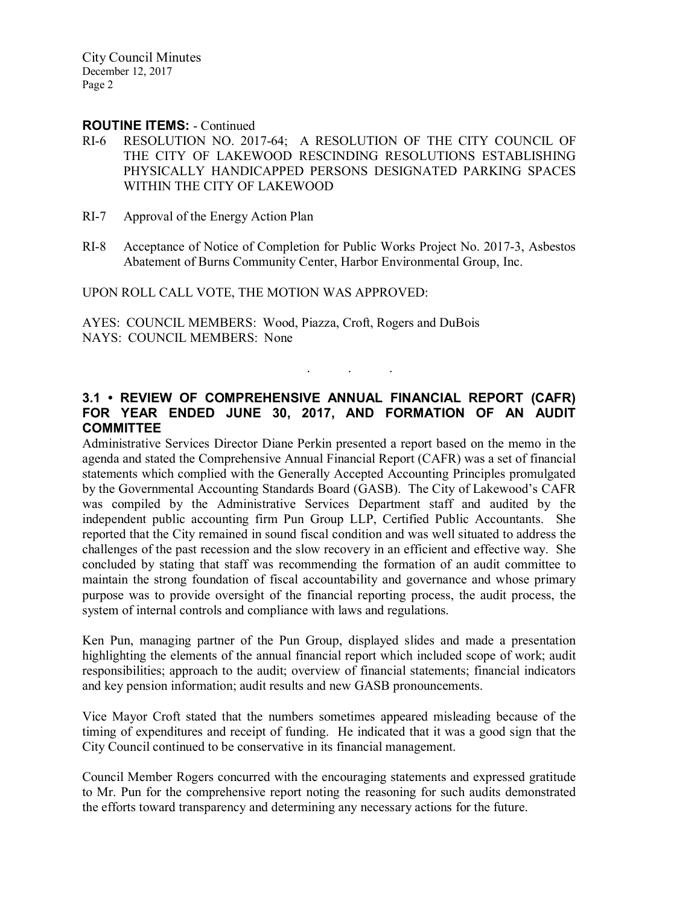City Council Minutes December 12, 2017 Page 2

#### ROUTINE ITEMS: - Continued

- RI-6 RESOLUTION NO. 2017-64; A RESOLUTION OF THE CITY COUNCIL OF THE CITY OF LAKEWOOD RESCINDING RESOLUTIONS ESTABLISHING PHYSICALLY HANDICAPPED PERSONS DESIGNATED PARKING SPACES WITHIN THE CITY OF LAKEWOOD
- RI-7 Approval of the Energy Action Plan
- RI-8 Acceptance of Notice of Completion for Public Works Project No. 2017-3, Asbestos Abatement of Burns Community Center, Harbor Environmental Group, Inc.

UPON ROLL CALL VOTE, THE MOTION WAS APPROVED:

AYES: COUNCIL MEMBERS: Wood, Piazza, Croft, Rogers and DuBois NAYS: COUNCIL MEMBERS: None

# 3.1 • REVIEW OF COMPREHENSIVE ANNUAL FINANCIAL REPORT (CAFR) FOR YEAR ENDED JUNE 30, 2017, AND FORMATION OF AN AUDIT **COMMITTEE**

. . .

Administrative Services Director Diane Perkin presented a report based on the memo in the agenda and stated the Comprehensive Annual Financial Report (CAFR) was a set of financial statements which complied with the Generally Accepted Accounting Principles promulgated by the Governmental Accounting Standards Board (GASB). The City of Lakewood's CAFR was compiled by the Administrative Services Department staff and audited by the independent public accounting firm Pun Group LLP, Certified Public Accountants. She reported that the City remained in sound fiscal condition and was well situated to address the challenges of the past recession and the slow recovery in an efficient and effective way. She concluded by stating that staff was recommending the formation of an audit committee to maintain the strong foundation of fiscal accountability and governance and whose primary purpose was to provide oversight of the financial reporting process, the audit process, the system of internal controls and compliance with laws and regulations.

Ken Pun, managing partner of the Pun Group, displayed slides and made a presentation highlighting the elements of the annual financial report which included scope of work; audit responsibilities; approach to the audit; overview of financial statements; financial indicators and key pension information; audit results and new GASB pronouncements.

Vice Mayor Croft stated that the numbers sometimes appeared misleading because of the timing of expenditures and receipt of funding. He indicated that it was a good sign that the City Council continued to be conservative in its financial management.

Council Member Rogers concurred with the encouraging statements and expressed gratitude to Mr. Pun for the comprehensive report noting the reasoning for such audits demonstrated the efforts toward transparency and determining any necessary actions for the future.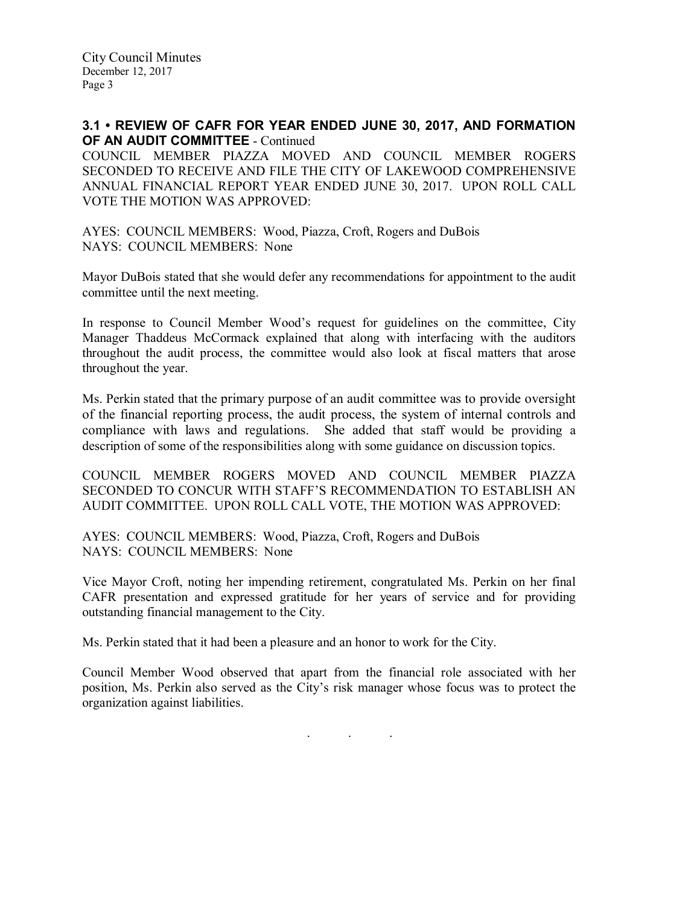### 3.1 • REVIEW OF CAFR FOR YEAR ENDED JUNE 30, 2017, AND FORMATION OF AN AUDIT COMMITTEE - Continued

COUNCIL MEMBER PIAZZA MOVED AND COUNCIL MEMBER ROGERS SECONDED TO RECEIVE AND FILE THE CITY OF LAKEWOOD COMPREHENSIVE ANNUAL FINANCIAL REPORT YEAR ENDED JUNE 30, 2017. UPON ROLL CALL VOTE THE MOTION WAS APPROVED:

AYES: COUNCIL MEMBERS: Wood, Piazza, Croft, Rogers and DuBois NAYS: COUNCIL MEMBERS: None

Mayor DuBois stated that she would defer any recommendations for appointment to the audit committee until the next meeting.

In response to Council Member Wood's request for guidelines on the committee, City Manager Thaddeus McCormack explained that along with interfacing with the auditors throughout the audit process, the committee would also look at fiscal matters that arose throughout the year.

Ms. Perkin stated that the primary purpose of an audit committee was to provide oversight of the financial reporting process, the audit process, the system of internal controls and compliance with laws and regulations. She added that staff would be providing a description of some of the responsibilities along with some guidance on discussion topics.

COUNCIL MEMBER ROGERS MOVED AND COUNCIL MEMBER PIAZZA SECONDED TO CONCUR WITH STAFF'S RECOMMENDATION TO ESTABLISH AN AUDIT COMMITTEE. UPON ROLL CALL VOTE, THE MOTION WAS APPROVED:

AYES: COUNCIL MEMBERS: Wood, Piazza, Croft, Rogers and DuBois NAYS: COUNCIL MEMBERS: None

Vice Mayor Croft, noting her impending retirement, congratulated Ms. Perkin on her final CAFR presentation and expressed gratitude for her years of service and for providing outstanding financial management to the City.

Ms. Perkin stated that it had been a pleasure and an honor to work for the City.

Council Member Wood observed that apart from the financial role associated with her position, Ms. Perkin also served as the City's risk manager whose focus was to protect the organization against liabilities.

. . .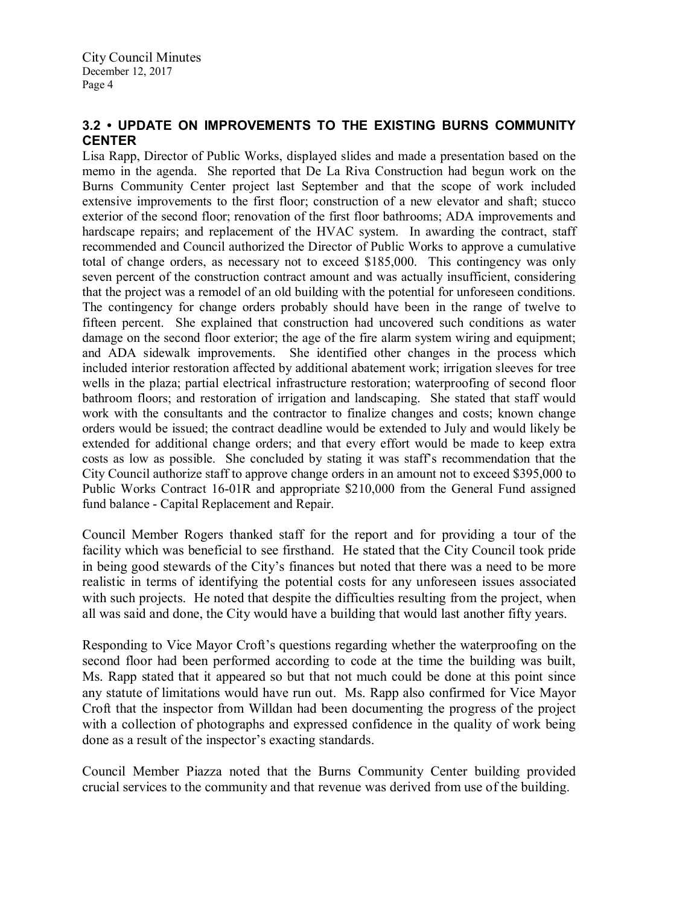## 3.2 • UPDATE ON IMPROVEMENTS TO THE EXISTING BURNS COMMUNITY **CENTER**

Lisa Rapp, Director of Public Works, displayed slides and made a presentation based on the memo in the agenda. She reported that De La Riva Construction had begun work on the Burns Community Center project last September and that the scope of work included extensive improvements to the first floor; construction of a new elevator and shaft; stucco exterior of the second floor; renovation of the first floor bathrooms; ADA improvements and hardscape repairs; and replacement of the HVAC system. In awarding the contract, staff recommended and Council authorized the Director of Public Works to approve a cumulative total of change orders, as necessary not to exceed \$185,000. This contingency was only seven percent of the construction contract amount and was actually insufficient, considering that the project was a remodel of an old building with the potential for unforeseen conditions. The contingency for change orders probably should have been in the range of twelve to fifteen percent. She explained that construction had uncovered such conditions as water damage on the second floor exterior; the age of the fire alarm system wiring and equipment; and ADA sidewalk improvements. She identified other changes in the process which included interior restoration affected by additional abatement work; irrigation sleeves for tree wells in the plaza; partial electrical infrastructure restoration; waterproofing of second floor bathroom floors; and restoration of irrigation and landscaping. She stated that staff would work with the consultants and the contractor to finalize changes and costs; known change orders would be issued; the contract deadline would be extended to July and would likely be extended for additional change orders; and that every effort would be made to keep extra costs as low as possible. She concluded by stating it was staff's recommendation that the City Council authorize staff to approve change orders in an amount not to exceed \$395,000 to Public Works Contract 16-01R and appropriate \$210,000 from the General Fund assigned fund balance - Capital Replacement and Repair.

Council Member Rogers thanked staff for the report and for providing a tour of the facility which was beneficial to see firsthand. He stated that the City Council took pride in being good stewards of the City's finances but noted that there was a need to be more realistic in terms of identifying the potential costs for any unforeseen issues associated with such projects. He noted that despite the difficulties resulting from the project, when all was said and done, the City would have a building that would last another fifty years.

Responding to Vice Mayor Croft's questions regarding whether the waterproofing on the second floor had been performed according to code at the time the building was built, Ms. Rapp stated that it appeared so but that not much could be done at this point since any statute of limitations would have run out. Ms. Rapp also confirmed for Vice Mayor Croft that the inspector from Willdan had been documenting the progress of the project with a collection of photographs and expressed confidence in the quality of work being done as a result of the inspector's exacting standards.

Council Member Piazza noted that the Burns Community Center building provided crucial services to the community and that revenue was derived from use of the building.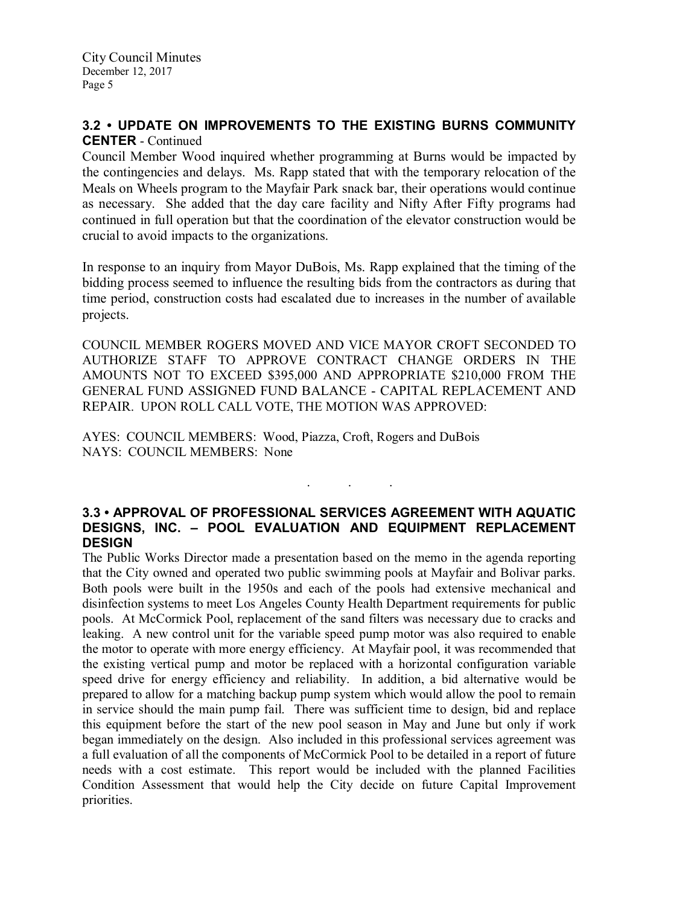## 3.2 • UPDATE ON IMPROVEMENTS TO THE EXISTING BURNS COMMUNITY CENTER - Continued

Council Member Wood inquired whether programming at Burns would be impacted by the contingencies and delays. Ms. Rapp stated that with the temporary relocation of the Meals on Wheels program to the Mayfair Park snack bar, their operations would continue as necessary. She added that the day care facility and Nifty After Fifty programs had continued in full operation but that the coordination of the elevator construction would be crucial to avoid impacts to the organizations.

In response to an inquiry from Mayor DuBois, Ms. Rapp explained that the timing of the bidding process seemed to influence the resulting bids from the contractors as during that time period, construction costs had escalated due to increases in the number of available projects.

COUNCIL MEMBER ROGERS MOVED AND VICE MAYOR CROFT SECONDED TO AUTHORIZE STAFF TO APPROVE CONTRACT CHANGE ORDERS IN THE AMOUNTS NOT TO EXCEED \$395,000 AND APPROPRIATE \$210,000 FROM THE GENERAL FUND ASSIGNED FUND BALANCE - CAPITAL REPLACEMENT AND REPAIR. UPON ROLL CALL VOTE, THE MOTION WAS APPROVED:

AYES: COUNCIL MEMBERS: Wood, Piazza, Croft, Rogers and DuBois NAYS: COUNCIL MEMBERS: None

## 3.3 • APPROVAL OF PROFESSIONAL SERVICES AGREEMENT WITH AQUATIC DESIGNS, INC. – POOL EVALUATION AND EQUIPMENT REPLACEMENT **DESIGN**

. . .

The Public Works Director made a presentation based on the memo in the agenda reporting that the City owned and operated two public swimming pools at Mayfair and Bolivar parks. Both pools were built in the 1950s and each of the pools had extensive mechanical and disinfection systems to meet Los Angeles County Health Department requirements for public pools. At McCormick Pool, replacement of the sand filters was necessary due to cracks and leaking. A new control unit for the variable speed pump motor was also required to enable the motor to operate with more energy efficiency. At Mayfair pool, it was recommended that the existing vertical pump and motor be replaced with a horizontal configuration variable speed drive for energy efficiency and reliability. In addition, a bid alternative would be prepared to allow for a matching backup pump system which would allow the pool to remain in service should the main pump fail. There was sufficient time to design, bid and replace this equipment before the start of the new pool season in May and June but only if work began immediately on the design. Also included in this professional services agreement was a full evaluation of all the components of McCormick Pool to be detailed in a report of future needs with a cost estimate. This report would be included with the planned Facilities Condition Assessment that would help the City decide on future Capital Improvement priorities.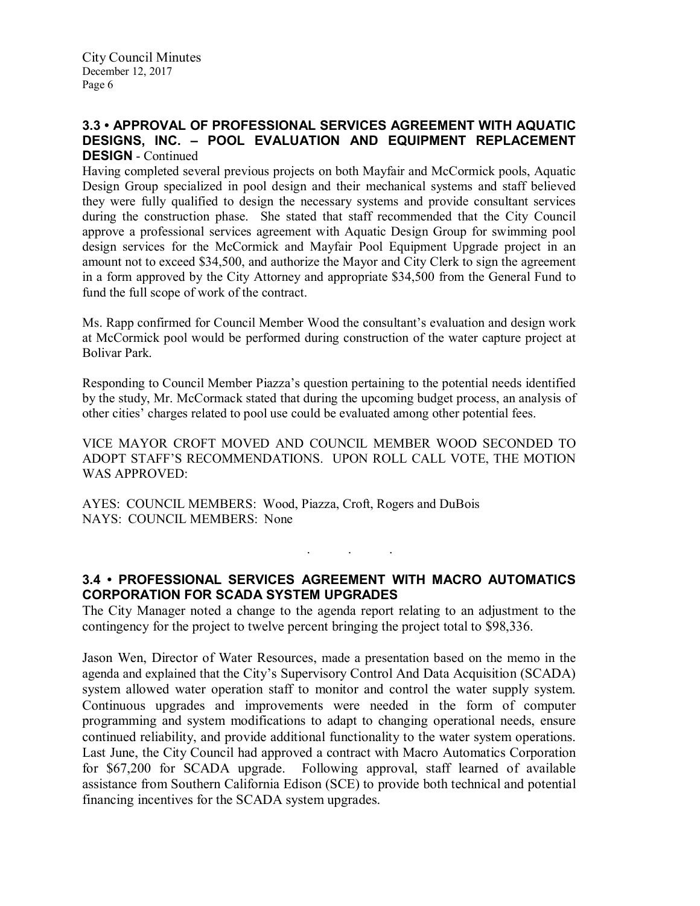## 3.3 • APPROVAL OF PROFESSIONAL SERVICES AGREEMENT WITH AQUATIC DESIGNS, INC. – POOL EVALUATION AND EQUIPMENT REPLACEMENT DESIGN - Continued

Having completed several previous projects on both Mayfair and McCormick pools, Aquatic Design Group specialized in pool design and their mechanical systems and staff believed they were fully qualified to design the necessary systems and provide consultant services during the construction phase. She stated that staff recommended that the City Council approve a professional services agreement with Aquatic Design Group for swimming pool design services for the McCormick and Mayfair Pool Equipment Upgrade project in an amount not to exceed \$34,500, and authorize the Mayor and City Clerk to sign the agreement in a form approved by the City Attorney and appropriate \$34,500 from the General Fund to fund the full scope of work of the contract.

Ms. Rapp confirmed for Council Member Wood the consultant's evaluation and design work at McCormick pool would be performed during construction of the water capture project at Bolivar Park.

Responding to Council Member Piazza's question pertaining to the potential needs identified by the study, Mr. McCormack stated that during the upcoming budget process, an analysis of other cities' charges related to pool use could be evaluated among other potential fees.

VICE MAYOR CROFT MOVED AND COUNCIL MEMBER WOOD SECONDED TO ADOPT STAFF'S RECOMMENDATIONS. UPON ROLL CALL VOTE, THE MOTION WAS APPROVED:

AYES: COUNCIL MEMBERS: Wood, Piazza, Croft, Rogers and DuBois NAYS: COUNCIL MEMBERS: None

# 3.4 • PROFESSIONAL SERVICES AGREEMENT WITH MACRO AUTOMATICS CORPORATION FOR SCADA SYSTEM UPGRADES

. . .

The City Manager noted a change to the agenda report relating to an adjustment to the contingency for the project to twelve percent bringing the project total to \$98,336.

Jason Wen, Director of Water Resources, made a presentation based on the memo in the agenda and explained that the City's Supervisory Control And Data Acquisition (SCADA) system allowed water operation staff to monitor and control the water supply system. Continuous upgrades and improvements were needed in the form of computer programming and system modifications to adapt to changing operational needs, ensure continued reliability, and provide additional functionality to the water system operations. Last June, the City Council had approved a contract with Macro Automatics Corporation for \$67,200 for SCADA upgrade. Following approval, staff learned of available assistance from Southern California Edison (SCE) to provide both technical and potential financing incentives for the SCADA system upgrades.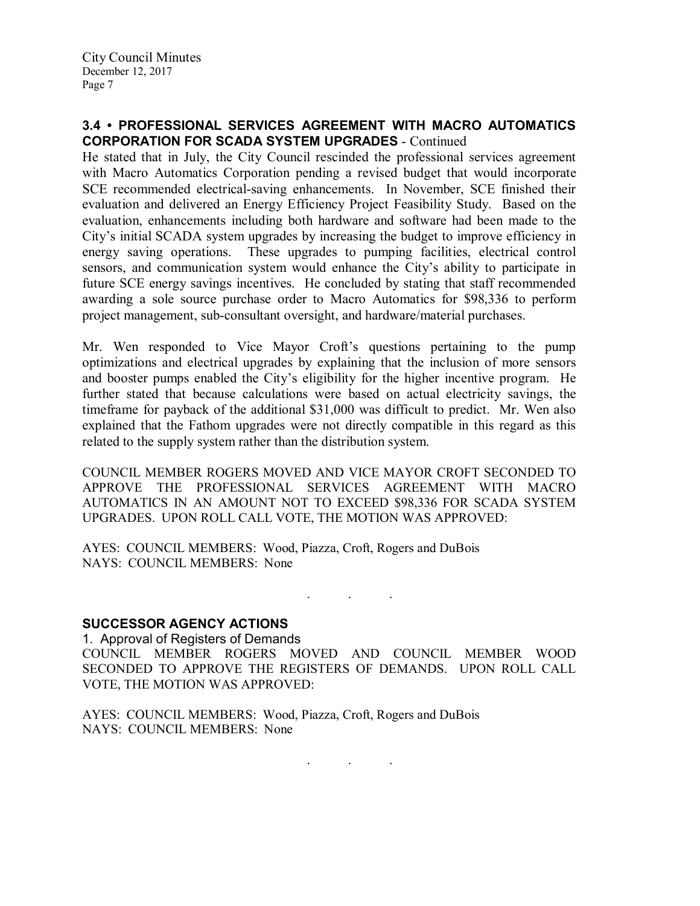## 3.4 • PROFESSIONAL SERVICES AGREEMENT WITH MACRO AUTOMATICS CORPORATION FOR SCADA SYSTEM UPGRADES - Continued

He stated that in July, the City Council rescinded the professional services agreement with Macro Automatics Corporation pending a revised budget that would incorporate SCE recommended electrical-saving enhancements. In November, SCE finished their evaluation and delivered an Energy Efficiency Project Feasibility Study. Based on the evaluation, enhancements including both hardware and software had been made to the City's initial SCADA system upgrades by increasing the budget to improve efficiency in energy saving operations. These upgrades to pumping facilities, electrical control sensors, and communication system would enhance the City's ability to participate in future SCE energy savings incentives. He concluded by stating that staff recommended awarding a sole source purchase order to Macro Automatics for \$98,336 to perform project management, sub-consultant oversight, and hardware/material purchases.

Mr. Wen responded to Vice Mayor Croft's questions pertaining to the pump optimizations and electrical upgrades by explaining that the inclusion of more sensors and booster pumps enabled the City's eligibility for the higher incentive program. He further stated that because calculations were based on actual electricity savings, the timeframe for payback of the additional \$31,000 was difficult to predict. Mr. Wen also explained that the Fathom upgrades were not directly compatible in this regard as this related to the supply system rather than the distribution system.

COUNCIL MEMBER ROGERS MOVED AND VICE MAYOR CROFT SECONDED TO APPROVE THE PROFESSIONAL SERVICES AGREEMENT WITH MACRO AUTOMATICS IN AN AMOUNT NOT TO EXCEED \$98,336 FOR SCADA SYSTEM UPGRADES. UPON ROLL CALL VOTE, THE MOTION WAS APPROVED:

AYES: COUNCIL MEMBERS: Wood, Piazza, Croft, Rogers and DuBois NAYS: COUNCIL MEMBERS: None

## SUCCESSOR AGENCY ACTIONS

1. Approval of Registers of Demands COUNCIL MEMBER ROGERS MOVED AND COUNCIL MEMBER WOOD SECONDED TO APPROVE THE REGISTERS OF DEMANDS. UPON ROLL CALL VOTE, THE MOTION WAS APPROVED:

. . .

AYES: COUNCIL MEMBERS: Wood, Piazza, Croft, Rogers and DuBois NAYS: COUNCIL MEMBERS: None

 $\mathbf{r}$  .  $\mathbf{r}$  ,  $\mathbf{r}$  ,  $\mathbf{r}$  ,  $\mathbf{r}$  ,  $\mathbf{r}$  ,  $\mathbf{r}$